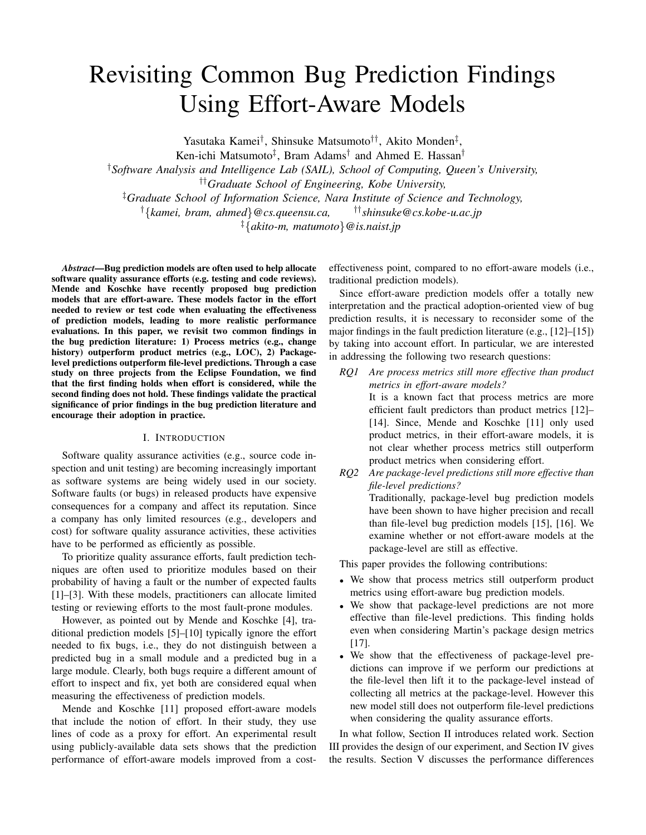# Revisiting Common Bug Prediction Findings Using Effort-Aware Models

Yasutaka Kamei†, Shinsuke Matsumoto††, Akito Monden‡,

Ken-ichi Matsumoto<sup>‡</sup>, Bram Adams<sup>†</sup> and Ahmed E. Hassan<sup>†</sup>

†*Software Analysis and Intelligence Lab (SAIL), School of Computing, Queen's University,*

††*Graduate School of Engineering, Kobe University,*

‡*Graduate School of Information Science, Nara Institute of Science and Technology,*

†{*kamei, bram, ahmed*}*@cs.queensu.ca,* ††*shinsuke@cs.kobe-u.ac.jp*

‡{*akito-m, matumoto*}*@is.naist.jp*

*Abstract***—Bug prediction models are often used to help allocate software quality assurance efforts (e.g. testing and code reviews). Mende and Koschke have recently proposed bug prediction models that are effort-aware. These models factor in the effort needed to review or test code when evaluating the effectiveness of prediction models, leading to more realistic performance evaluations. In this paper, we revisit two common findings in the bug prediction literature: 1) Process metrics (e.g., change history) outperform product metrics (e.g., LOC), 2) Packagelevel predictions outperform file-level predictions. Through a case study on three projects from the Eclipse Foundation, we find that the first finding holds when effort is considered, while the second finding does not hold. These findings validate the practical significance of prior findings in the bug prediction literature and encourage their adoption in practice.**

## I. INTRODUCTION

Software quality assurance activities (e.g., source code inspection and unit testing) are becoming increasingly important as software systems are being widely used in our society. Software faults (or bugs) in released products have expensive consequences for a company and affect its reputation. Since a company has only limited resources (e.g., developers and cost) for software quality assurance activities, these activities have to be performed as efficiently as possible.

To prioritize quality assurance efforts, fault prediction techniques are often used to prioritize modules based on their probability of having a fault or the number of expected faults [1]–[3]. With these models, practitioners can allocate limited testing or reviewing efforts to the most fault-prone modules.

However, as pointed out by Mende and Koschke [4], traditional prediction models [5]–[10] typically ignore the effort needed to fix bugs, i.e., they do not distinguish between a predicted bug in a small module and a predicted bug in a large module. Clearly, both bugs require a different amount of effort to inspect and fix, yet both are considered equal when measuring the effectiveness of prediction models.

Mende and Koschke [11] proposed effort-aware models that include the notion of effort. In their study, they use lines of code as a proxy for effort. An experimental result using publicly-available data sets shows that the prediction performance of effort-aware models improved from a costeffectiveness point, compared to no effort-aware models (i.e., traditional prediction models).

Since effort-aware prediction models offer a totally new interpretation and the practical adoption-oriented view of bug prediction results, it is necessary to reconsider some of the major findings in the fault prediction literature (e.g., [12]–[15]) by taking into account effort. In particular, we are interested in addressing the following two research questions:

- *RQ1 Are process metrics still more effective than product metrics in effort-aware models?* It is a known fact that process metrics are more efficient fault predictors than product metrics [12]– [14]. Since, Mende and Koschke [11] only used product metrics, in their effort-aware models, it is not clear whether process metrics still outperform product metrics when considering effort. *RQ2 Are package-level predictions still more effective than*
	- *file-level predictions?* Traditionally, package-level bug prediction models have been shown to have higher precision and recall than file-level bug prediction models [15], [16]. We examine whether or not effort-aware models at the package-level are still as effective.

This paper provides the following contributions:

- We show that process metrics still outperform product metrics using effort-aware bug prediction models.
- We show that package-level predictions are not more effective than file-level predictions. This finding holds even when considering Martin's package design metrics [17].
- We show that the effectiveness of package-level predictions can improve if we perform our predictions at the file-level then lift it to the package-level instead of collecting all metrics at the package-level. However this new model still does not outperform file-level predictions when considering the quality assurance efforts.

In what follow, Section II introduces related work. Section III provides the design of our experiment, and Section IV gives the results. Section V discusses the performance differences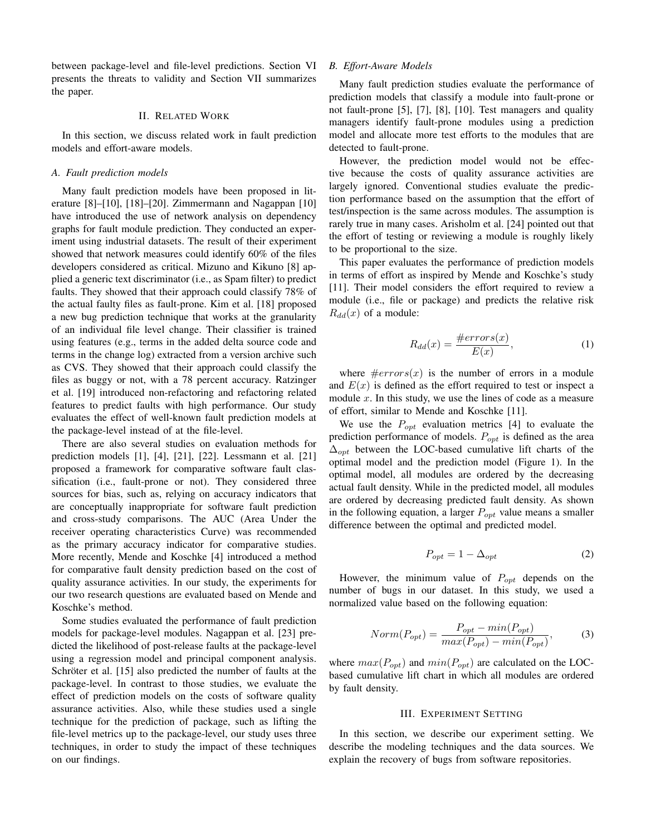between package-level and file-level predictions. Section VI presents the threats to validity and Section VII summarizes the paper.

## II. RELATED WORK

In this section, we discuss related work in fault prediction models and effort-aware models.

## *A. Fault prediction models*

Many fault prediction models have been proposed in literature [8]–[10], [18]–[20]. Zimmermann and Nagappan [10] have introduced the use of network analysis on dependency graphs for fault module prediction. They conducted an experiment using industrial datasets. The result of their experiment showed that network measures could identify 60% of the files developers considered as critical. Mizuno and Kikuno [8] applied a generic text discriminator (i.e., as Spam filter) to predict faults. They showed that their approach could classify 78% of the actual faulty files as fault-prone. Kim et al. [18] proposed a new bug prediction technique that works at the granularity of an individual file level change. Their classifier is trained using features (e.g., terms in the added delta source code and terms in the change log) extracted from a version archive such as CVS. They showed that their approach could classify the files as buggy or not, with a 78 percent accuracy. Ratzinger et al. [19] introduced non-refactoring and refactoring related features to predict faults with high performance. Our study evaluates the effect of well-known fault prediction models at the package-level instead of at the file-level.

There are also several studies on evaluation methods for prediction models [1], [4], [21], [22]. Lessmann et al. [21] proposed a framework for comparative software fault classification (i.e., fault-prone or not). They considered three sources for bias, such as, relying on accuracy indicators that are conceptually inappropriate for software fault prediction and cross-study comparisons. The AUC (Area Under the receiver operating characteristics Curve) was recommended as the primary accuracy indicator for comparative studies. More recently, Mende and Koschke [4] introduced a method for comparative fault density prediction based on the cost of quality assurance activities. In our study, the experiments for our two research questions are evaluated based on Mende and Koschke's method.

Some studies evaluated the performance of fault prediction models for package-level modules. Nagappan et al. [23] predicted the likelihood of post-release faults at the package-level using a regression model and principal component analysis. Schröter et al. [15] also predicted the number of faults at the package-level. In contrast to those studies, we evaluate the effect of prediction models on the costs of software quality assurance activities. Also, while these studies used a single technique for the prediction of package, such as lifting the file-level metrics up to the package-level, our study uses three techniques, in order to study the impact of these techniques on our findings.

## *B. Effort-Aware Models*

Many fault prediction studies evaluate the performance of prediction models that classify a module into fault-prone or not fault-prone [5], [7], [8], [10]. Test managers and quality managers identify fault-prone modules using a prediction model and allocate more test efforts to the modules that are detected to fault-prone.

However, the prediction model would not be effective because the costs of quality assurance activities are largely ignored. Conventional studies evaluate the prediction performance based on the assumption that the effort of test/inspection is the same across modules. The assumption is rarely true in many cases. Arisholm et al. [24] pointed out that the effort of testing or reviewing a module is roughly likely to be proportional to the size.

This paper evaluates the performance of prediction models in terms of effort as inspired by Mende and Koschke's study [11]. Their model considers the effort required to review a module (i.e., file or package) and predicts the relative risk  $R_{dd}(x)$  of a module:

$$
R_{dd}(x) = \frac{\#errors(x)}{E(x)},\tag{1}
$$

where  $\#errors(x)$  is the number of errors in a module and  $E(x)$  is defined as the effort required to test or inspect a module  $x$ . In this study, we use the lines of code as a measure of effort, similar to Mende and Koschke [11].

We use the  $P_{opt}$  evaluation metrics [4] to evaluate the prediction performance of models.  $P_{opt}$  is defined as the area  $\Delta_{opt}$  between the LOC-based cumulative lift charts of the optimal model and the prediction model (Figure 1). In the optimal model, all modules are ordered by the decreasing actual fault density. While in the predicted model, all modules are ordered by decreasing predicted fault density. As shown in the following equation, a larger  $P_{opt}$  value means a smaller difference between the optimal and predicted model.

$$
P_{opt} = 1 - \Delta_{opt} \tag{2}
$$

However, the minimum value of  $P_{opt}$  depends on the number of bugs in our dataset. In this study, we used a normalized value based on the following equation:

$$
Norm(P_{opt}) = \frac{P_{opt} - min(P_{opt})}{max(P_{opt}) - min(P_{opt})},
$$
\n(3)

where  $max(P_{opt})$  and  $min(P_{opt})$  are calculated on the LOCbased cumulative lift chart in which all modules are ordered by fault density.

# III. EXPERIMENT SETTING

In this section, we describe our experiment setting. We describe the modeling techniques and the data sources. We explain the recovery of bugs from software repositories.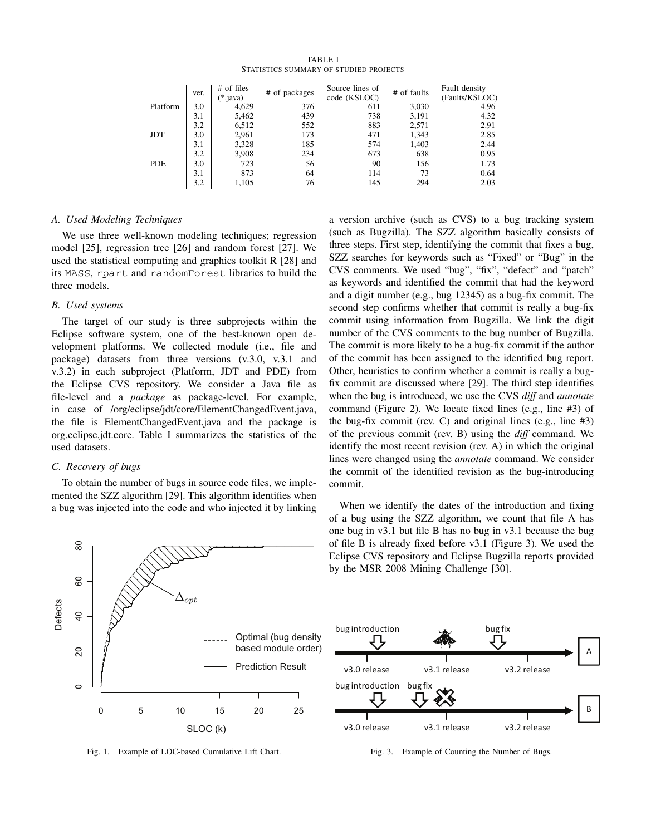|            | ver.             | $#$ of files | # of packages | Source lines of | # of faults | Fault density  |
|------------|------------------|--------------|---------------|-----------------|-------------|----------------|
|            |                  | $(*.$ java)  |               | code (KSLOC)    |             | (Faults/KSLOC) |
| Platform   | $\overline{3.0}$ | 4,629        | 376           | 611             | 3,030       | 4.96           |
|            | 3.1              | 5,462        | 439           | 738             | 3,191       | 4.32           |
|            | 3.2              | 6,512        | 552           | 883             | 2,571       | 2.91           |
| <b>JDT</b> | 3.0              | 2,961        | 173           | 471             | 1,343       | 2.85           |
|            | 3.1              | 3,328        | 185           | 574             | 1,403       | 2.44           |
|            | 3.2              | 3.908        | 234           | 673             | 638         | 0.95           |
| <b>PDE</b> | 3.0              | 723          | 56            | 90              | 156         | 1.73           |
|            | 3.1              | 873          | 64            | 114             | 73          | 0.64           |
|            | 3.2              | 1,105        | 76            | 145             | 294         | 2.03           |

TABLE I STATISTICS SUMMARY OF STUDIED PROJECTS

## *A. Used Modeling Techniques*

We use three well-known modeling techniques; regression model [25], regression tree [26] and random forest [27]. We used the statistical computing and graphics toolkit R [28] and its MASS, rpart and randomForest libraries to build the three models.

## *B. Used systems*

The target of our study is three subprojects within the Eclipse software system, one of the best-known open development platforms. We collected module (i.e., file and package) datasets from three versions (v.3.0, v.3.1 and v.3.2) in each subproject (Platform, JDT and PDE) from the Eclipse CVS repository. We consider a Java file as file-level and a *package* as package-level. For example, in case of /org/eclipse/jdt/core/ElementChangedEvent.java, the file is ElementChangedEvent.java and the package is org.eclipse.jdt.core. Table I summarizes the statistics of the used datasets.

## *C. Recovery of bugs*

To obtain the number of bugs in source code files, we implemented the SZZ algorithm [29]. This algorithm identifies when a bug was injected into the code and who injected it by linking



Fig. 1. Example of LOC-based Cumulative Lift Chart.

a version archive (such as CVS) to a bug tracking system (such as Bugzilla). The SZZ algorithm basically consists of three steps. First step, identifying the commit that fixes a bug, SZZ searches for keywords such as "Fixed" or "Bug" in the CVS comments. We used "bug", "fix", "defect" and "patch" as keywords and identified the commit that had the keyword and a digit number (e.g., bug 12345) as a bug-fix commit. The second step confirms whether that commit is really a bug-fix commit using information from Bugzilla. We link the digit number of the CVS comments to the bug number of Bugzilla. The commit is more likely to be a bug-fix commit if the author of the commit has been assigned to the identified bug report. Other, heuristics to confirm whether a commit is really a bugfix commit are discussed where [29]. The third step identifies when the bug is introduced, we use the CVS *diff* and *annotate* command (Figure 2). We locate fixed lines (e.g., line #3) of the bug-fix commit (rev. C) and original lines (e.g., line #3) of the previous commit (rev. B) using the *diff* command. We identify the most recent revision (rev. A) in which the original lines were changed using the *annotate* command. We consider the commit of the identified revision as the bug-introducing commit.

When we identify the dates of the introduction and fixing of a bug using the SZZ algorithm, we count that file A has one bug in v3.1 but file B has no bug in v3.1 because the bug of file B is already fixed before v3.1 (Figure 3). We used the Eclipse CVS repository and Eclipse Bugzilla reports provided by the MSR 2008 Mining Challenge [30].



Fig. 3. Example of Counting the Number of Bugs.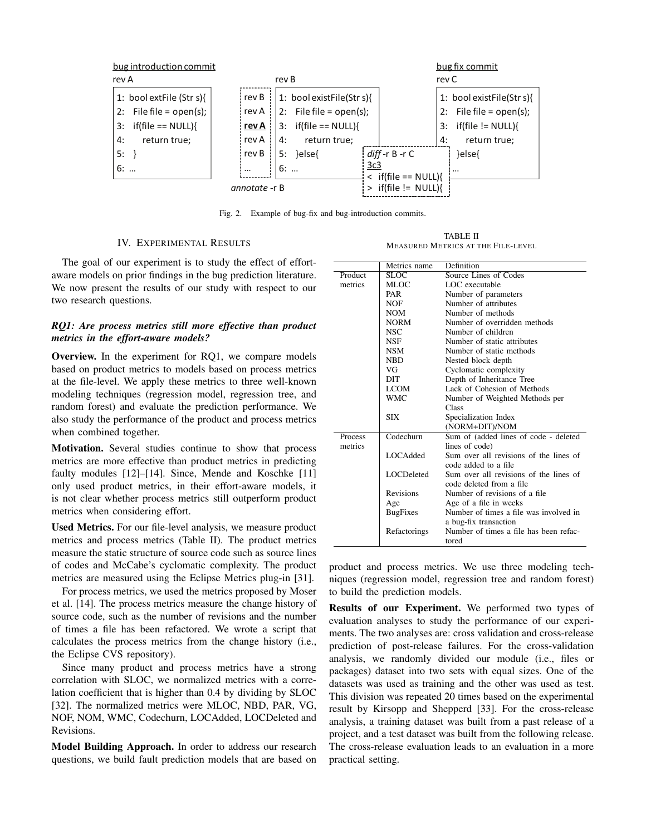

Fig. 2. Example of bug-fix and bug-introduction commits.

## IV. EXPERIMENTAL RESULTS

TABLE II MEASURED METRICS AT THE FILE-LEVEL

The goal of our experiment is to study the effect of effortaware models on prior findings in the bug prediction literature. We now present the results of our study with respect to our two research questions.

# *RQ1: Are process metrics still more effective than product metrics in the effort-aware models?*

**Overview.** In the experiment for RQ1, we compare models based on product metrics to models based on process metrics at the file-level. We apply these metrics to three well-known modeling techniques (regression model, regression tree, and random forest) and evaluate the prediction performance. We also study the performance of the product and process metrics when combined together.

**Motivation.** Several studies continue to show that process metrics are more effective than product metrics in predicting faulty modules [12]–[14]. Since, Mende and Koschke [11] only used product metrics, in their effort-aware models, it is not clear whether process metrics still outperform product metrics when considering effort.

**Used Metrics.** For our file-level analysis, we measure product metrics and process metrics (Table II). The product metrics measure the static structure of source code such as source lines of codes and McCabe's cyclomatic complexity. The product metrics are measured using the Eclipse Metrics plug-in [31].

For process metrics, we used the metrics proposed by Moser et al. [14]. The process metrics measure the change history of source code, such as the number of revisions and the number of times a file has been refactored. We wrote a script that calculates the process metrics from the change history (i.e., the Eclipse CVS repository).

Since many product and process metrics have a strong correlation with SLOC, we normalized metrics with a correlation coefficient that is higher than 0.4 by dividing by SLOC [32]. The normalized metrics were MLOC, NBD, PAR, VG, NOF, NOM, WMC, Codechurn, LOCAdded, LOCDeleted and Revisions.

**Model Building Approach.** In order to address our research questions, we build fault prediction models that are based on

|         | Metrics name      | Definition                                                         |
|---------|-------------------|--------------------------------------------------------------------|
| Product | SLOC <sup>3</sup> | Source Lines of Codes                                              |
| metrics | MLOC              | LOC executable                                                     |
|         | PAR               | Number of parameters                                               |
|         | NOF               | Number of attributes                                               |
|         | NOM               | Number of methods                                                  |
|         | <b>NORM</b>       | Number of overridden methods                                       |
|         | NSC               | Number of children                                                 |
|         | <b>NSF</b>        | Number of static attributes                                        |
|         | <b>NSM</b>        | Number of static methods                                           |
|         | <b>NBD</b>        | Nested block depth                                                 |
|         | VG                | Cyclomatic complexity                                              |
|         | DIT               | Depth of Inheritance Tree                                          |
|         | <b>LCOM</b>       | Lack of Cohesion of Methods                                        |
|         | <b>WMC</b>        | Number of Weighted Methods per                                     |
|         |                   | Class                                                              |
|         | <b>SIX</b>        | Specialization Index                                               |
|         |                   | (NORM+DIT)/NOM                                                     |
| Process | Codechurn         | Sum of (added lines of code - deleted                              |
| metrics |                   | lines of code)                                                     |
|         | LOCAdded          | Sum over all revisions of the lines of<br>code added to a file     |
|         | LOCDeleted        | Sum over all revisions of the lines of<br>code deleted from a file |
|         | <b>Revisions</b>  | Number of revisions of a file.                                     |
|         | Age               | Age of a file in weeks                                             |
|         | <b>BugFixes</b>   | Number of times a file was involved in                             |
|         |                   | a bug-fix transaction                                              |
|         | Refactorings      | Number of times a file has been refac-<br>tored                    |

product and process metrics. We use three modeling techniques (regression model, regression tree and random forest) to build the prediction models.

**Results of our Experiment.** We performed two types of evaluation analyses to study the performance of our experiments. The two analyses are: cross validation and cross-release prediction of post-release failures. For the cross-validation analysis, we randomly divided our module (i.e., files or packages) dataset into two sets with equal sizes. One of the datasets was used as training and the other was used as test. This division was repeated 20 times based on the experimental result by Kirsopp and Shepperd [33]. For the cross-release analysis, a training dataset was built from a past release of a project, and a test dataset was built from the following release. The cross-release evaluation leads to an evaluation in a more practical setting.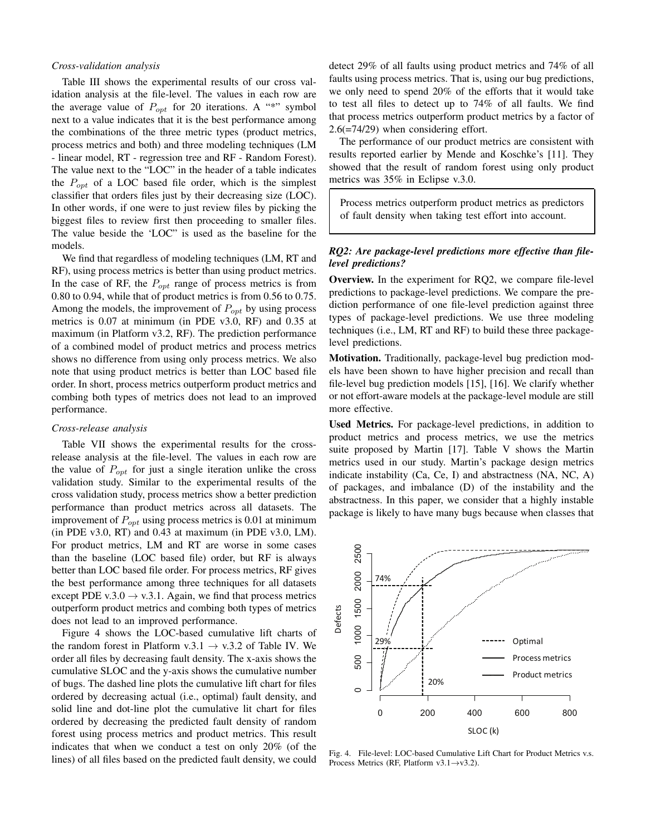## *Cross-validation analysis*

Table III shows the experimental results of our cross validation analysis at the file-level. The values in each row are the average value of  $P_{opt}$  for 20 iterations. A "\*" symbol next to a value indicates that it is the best performance among the combinations of the three metric types (product metrics, process metrics and both) and three modeling techniques (LM - linear model, RT - regression tree and RF - Random Forest). The value next to the "LOC" in the header of a table indicates the  $P_{opt}$  of a LOC based file order, which is the simplest classifier that orders files just by their decreasing size (LOC). In other words, if one were to just review files by picking the biggest files to review first then proceeding to smaller files. The value beside the 'LOC" is used as the baseline for the models.

We find that regardless of modeling techniques (LM, RT and RF), using process metrics is better than using product metrics. In the case of RF, the  $P_{opt}$  range of process metrics is from 0.80 to 0.94, while that of product metrics is from 0.56 to 0.75. Among the models, the improvement of  $P_{opt}$  by using process metrics is 0.07 at minimum (in PDE v3.0, RF) and 0.35 at maximum (in Platform v3.2, RF). The prediction performance of a combined model of product metrics and process metrics shows no difference from using only process metrics. We also note that using product metrics is better than LOC based file order. In short, process metrics outperform product metrics and combing both types of metrics does not lead to an improved performance.

## *Cross-release analysis*

Table VII shows the experimental results for the crossrelease analysis at the file-level. The values in each row are the value of  $P_{opt}$  for just a single iteration unlike the cross validation study. Similar to the experimental results of the cross validation study, process metrics show a better prediction performance than product metrics across all datasets. The improvement of  $P_{opt}$  using process metrics is 0.01 at minimum (in PDE v3.0, RT) and 0.43 at maximum (in PDE v3.0, LM). For product metrics, LM and RT are worse in some cases than the baseline (LOC based file) order, but RF is always better than LOC based file order. For process metrics, RF gives the best performance among three techniques for all datasets except PDE v.3.0  $\rightarrow$  v.3.1. Again, we find that process metrics outperform product metrics and combing both types of metrics does not lead to an improved performance.

Figure 4 shows the LOC-based cumulative lift charts of the random forest in Platform v.3.1  $\rightarrow$  v.3.2 of Table IV. We order all files by decreasing fault density. The x-axis shows the cumulative SLOC and the y-axis shows the cumulative number of bugs. The dashed line plots the cumulative lift chart for files ordered by decreasing actual (i.e., optimal) fault density, and solid line and dot-line plot the cumulative lit chart for files ordered by decreasing the predicted fault density of random forest using process metrics and product metrics. This result indicates that when we conduct a test on only 20% (of the lines) of all files based on the predicted fault density, we could

detect 29% of all faults using product metrics and 74% of all faults using process metrics. That is, using our bug predictions, we only need to spend 20% of the efforts that it would take to test all files to detect up to 74% of all faults. We find that process metrics outperform product metrics by a factor of 2.6(=74/29) when considering effort.

The performance of our product metrics are consistent with results reported earlier by Mende and Koschke's [11]. They showed that the result of random forest using only product metrics was 35% in Eclipse v.3.0.

Process metrics outperform product metrics as predictors of fault density when taking test effort into account.

# *RQ2: Are package-level predictions more effective than filelevel predictions?*

**Overview.** In the experiment for RQ2, we compare file-level predictions to package-level predictions. We compare the prediction performance of one file-level prediction against three types of package-level predictions. We use three modeling techniques (i.e., LM, RT and RF) to build these three packagelevel predictions.

**Motivation.** Traditionally, package-level bug prediction models have been shown to have higher precision and recall than file-level bug prediction models [15], [16]. We clarify whether or not effort-aware models at the package-level module are still more effective.

**Used Metrics.** For package-level predictions, in addition to product metrics and process metrics, we use the metrics suite proposed by Martin [17]. Table V shows the Martin metrics used in our study. Martin's package design metrics indicate instability (Ca, Ce, I) and abstractness (NA, NC, A) of packages, and imbalance (D) of the instability and the abstractness. In this paper, we consider that a highly instable package is likely to have many bugs because when classes that



Fig. 4. File-level: LOC-based Cumulative Lift Chart for Product Metrics v.s. Process Metrics (RF, Platform v3.1→v3.2).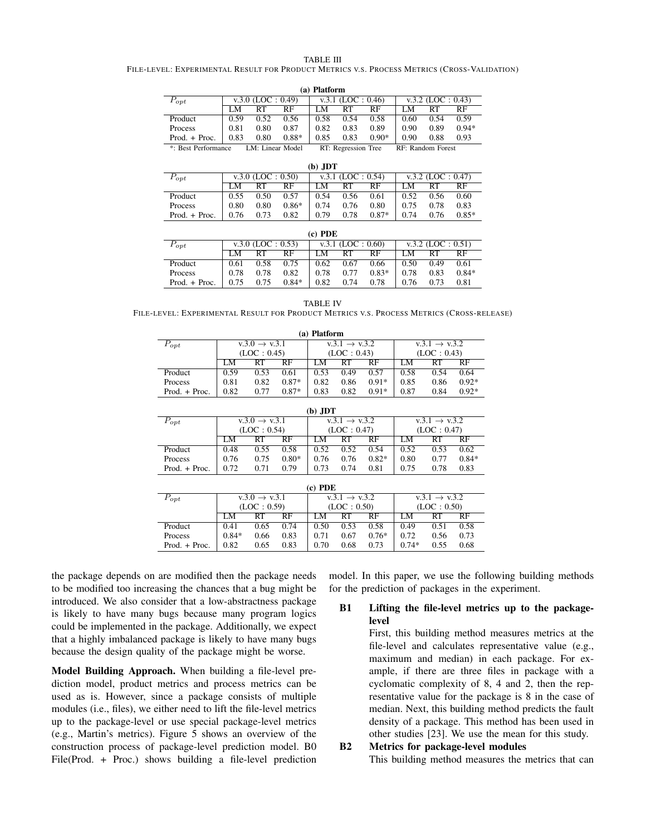#### TABLE III

FILE-LEVEL: EXPERIMENTAL RESULT FOR PRODUCT METRICS V.S. PROCESS METRICS (CROSS-VALIDATION)

| (a) Platform                                                                                              |      |                      |         |      |                       |         |                      |      |         |  |  |  |
|-----------------------------------------------------------------------------------------------------------|------|----------------------|---------|------|-----------------------|---------|----------------------|------|---------|--|--|--|
| $P_{opt}$                                                                                                 |      | $v.3.0$ (LOC : 0.49) |         |      | v.3.1 (LOC : $0.46$ ) |         | $v.3.2$ (LOC : 0.43) |      |         |  |  |  |
|                                                                                                           | M    | RТ                   | RF      |      |                       | RF      | LМ                   |      | RF      |  |  |  |
| Product                                                                                                   | 0.59 | 0.52                 | 0.56    | 0.58 | 0.54                  | 0.58    | 0.60                 | 0.54 | 0.59    |  |  |  |
| Process                                                                                                   | 0.81 | 0.80                 | 0.87    | 0.82 | 0.83                  | 0.89    | 0.90                 | 0.89 | $0.94*$ |  |  |  |
| $Proof. + Proc.$                                                                                          | 0.83 | 0.80                 | $0.88*$ | 0.85 | 0.83                  | $0.90*$ | 0.90                 | 0.88 | 0.93    |  |  |  |
| DT. Dograppion Trac<br>$\cdot$ D <sub>oot</sub> Dorformance<br>LM. Linger Model<br>$DE.$ Dandom $E$ oroet |      |                      |         |      |                       |         |                      |      |         |  |  |  |

| *: Best Performance | LM: Linear Model | RT: Regression Tree | RF: Random Forest |
|---------------------|------------------|---------------------|-------------------|
|                     |                  |                     |                   |

| $(b)$ JDT        |      |                      |         |      |                       |         |                      |      |         |  |  |  |  |
|------------------|------|----------------------|---------|------|-----------------------|---------|----------------------|------|---------|--|--|--|--|
| $P_{opt}$        |      | $v.3.0$ (LOC : 0.50) |         |      | v.3.1 (LOC : $0.54$ ) |         | $v.3.2$ (LOC : 0.47) |      |         |  |  |  |  |
|                  | LM.  | RT                   | RF      | LМ   | RT                    | RF      | 'M                   | RТ   | RF      |  |  |  |  |
| Product          | 0.55 | 0.50                 | 0.57    | 0.54 | 0.56                  | 0.61    | 0.52                 | 0.56 | 0.60    |  |  |  |  |
| Process          | 0.80 | 0.80                 | $0.86*$ | 0.74 | 0.76                  | 0.80    | 0.75                 | 0.78 | 0.83    |  |  |  |  |
| $Proof. + Proc.$ | 0.76 | 0.73                 | 0.82    | 0.79 | 0.78                  | $0.87*$ | 0.74                 | 0.76 | $0.85*$ |  |  |  |  |

| (c) PDE          |      |                      |         |      |                       |         |                      |      |         |  |  |  |
|------------------|------|----------------------|---------|------|-----------------------|---------|----------------------|------|---------|--|--|--|
| $P_{opt}$        |      | $v.3.0$ (LOC : 0.53) |         |      | v.3.1 (LOC : $0.60$ ) |         | $v.3.2$ (LOC : 0.51) |      |         |  |  |  |
|                  | LM.  | RT                   | RF      | LM.  | RT                    | RF      | LM.                  |      | RF      |  |  |  |
| Product          | 0.61 | 0.58                 | 0.75    | 0.62 | 0.67                  | 0.66    | 0.50                 | 0.49 | 0.61    |  |  |  |
| Process          | 0.78 | 0.78                 | 0.82    | 0.78 | 0.77                  | $0.83*$ | 0.78                 | 0.83 | $0.84*$ |  |  |  |
| $Proof. + Proc.$ | 0.75 | 0.75                 | $0.84*$ | 0.82 | 0.74                  | 0.78    | 0.76                 | 0.73 | 0.81    |  |  |  |

TABLE IV FILE-LEVEL: EXPERIMENTAL RESULT FOR PRODUCT METRICS V.S. PROCESS METRICS (CROSS-RELEASE)

| (a) Platform     |      |                           |         |                           |             |                           |             |      |         |  |  |  |
|------------------|------|---------------------------|---------|---------------------------|-------------|---------------------------|-------------|------|---------|--|--|--|
| $P_{opt}$        |      | $v.3.0 \rightarrow v.3.1$ |         | $v.3.1 \rightarrow v.3.2$ |             | $v.3.1 \rightarrow v.3.2$ |             |      |         |  |  |  |
|                  |      | (LOC: 0.45)               |         |                           | (LOC: 0.43) |                           | (LOC: 0.43) |      |         |  |  |  |
|                  | LM   | RT                        | RF      | LM.                       | RT          | RF                        | LM          | RT   | RF      |  |  |  |
| Product          | 0.59 | 0.53                      | 0.61    | 0.53                      | 0.49        | 0.57                      | 0.58        | 0.54 | 0.64    |  |  |  |
| Process          | 0.81 | 0.82                      | $0.87*$ | 0.82                      | 0.86        | $0.91*$                   | 0.85        | 0.86 | $0.92*$ |  |  |  |
| $Proof. + Proc.$ | 0.82 | 0.77                      | $0.87*$ | 0.83                      | 0.82        | $0.91*$                   | 0.87        | 0.84 | $0.92*$ |  |  |  |

| (b) JDT          |             |                           |         |      |                           |         |      |                           |         |  |  |
|------------------|-------------|---------------------------|---------|------|---------------------------|---------|------|---------------------------|---------|--|--|
| $P_{opt}$        |             | $v.3.0 \rightarrow v.3.1$ |         |      | $v.3.1 \rightarrow v.3.2$ |         |      | $v.3.1 \rightarrow v.3.2$ |         |  |  |
|                  | (LOC: 0.54) |                           |         |      | (LOC: 0.47)               |         |      | (LOC: 0.47)               |         |  |  |
|                  | LM          | RT                        | RF      | LМ   | RT                        | RF      | LM   | RT                        | RF      |  |  |
| Product          | 0.48        | 0.55                      | 0.58    | 0.52 | 0.52                      | 0.54    | 0.52 | 0.53                      | 0.62    |  |  |
| Process          | 0.76        | 0.75                      | $0.80*$ | 0.76 | 0.76                      | $0.82*$ | 0.80 | 0.77                      | $0.84*$ |  |  |
| $Proof. + Proc.$ | 0.72        | 0.71                      | 0.79    | 0.73 | 0.74                      | 0.81    | 0.75 | 0.78                      | 0.83    |  |  |

| (c) PDE          |         |                           |      |                           |             |                           |             |      |      |  |  |  |
|------------------|---------|---------------------------|------|---------------------------|-------------|---------------------------|-------------|------|------|--|--|--|
| $P_{opt}$        |         | $v.3.0 \rightarrow v.3.1$ |      | $v.3.1 \rightarrow v.3.2$ |             | $v.3.1 \rightarrow v.3.2$ |             |      |      |  |  |  |
|                  |         | (LOC: 0.59)               |      |                           | (LOC: 0.50) |                           | (LOC: 0.50) |      |      |  |  |  |
|                  | LM      | RT                        | RF   | LM                        | RT          | RF                        | LM          | RT   | RF   |  |  |  |
| Product          | 0.41    | 0.65                      | 0.74 | 0.50                      | 0.53        | 0.58                      | 0.49        | 0.51 | 0.58 |  |  |  |
| Process          | $0.84*$ | 0.66                      | 0.83 | 0.71                      | 0.67        | $0.76*$                   | 0.72        | 0.56 | 0.73 |  |  |  |
| $Proof. + Proc.$ | 0.82    | 0.65                      | 0.83 | 0.70                      | 0.68        | 0.73                      | $0.74*$     | 0.55 | 0.68 |  |  |  |

the package depends on are modified then the package needs to be modified too increasing the chances that a bug might be introduced. We also consider that a low-abstractness package is likely to have many bugs because many program logics could be implemented in the package. Additionally, we expect that a highly imbalanced package is likely to have many bugs because the design quality of the package might be worse.

**Model Building Approach.** When building a file-level prediction model, product metrics and process metrics can be used as is. However, since a package consists of multiple modules (i.e., files), we either need to lift the file-level metrics up to the package-level or use special package-level metrics (e.g., Martin's metrics). Figure 5 shows an overview of the construction process of package-level prediction model. B0 File(Prod. + Proc.) shows building a file-level prediction

model. In this paper, we use the following building methods for the prediction of packages in the experiment.

# **B1 Lifting the file-level metrics up to the packagelevel**

First, this building method measures metrics at the file-level and calculates representative value (e.g., maximum and median) in each package. For example, if there are three files in package with a cyclomatic complexity of 8, 4 and 2, then the representative value for the package is 8 in the case of median. Next, this building method predicts the fault density of a package. This method has been used in other studies [23]. We use the mean for this study.

**B2 Metrics for package-level modules**

This building method measures the metrics that can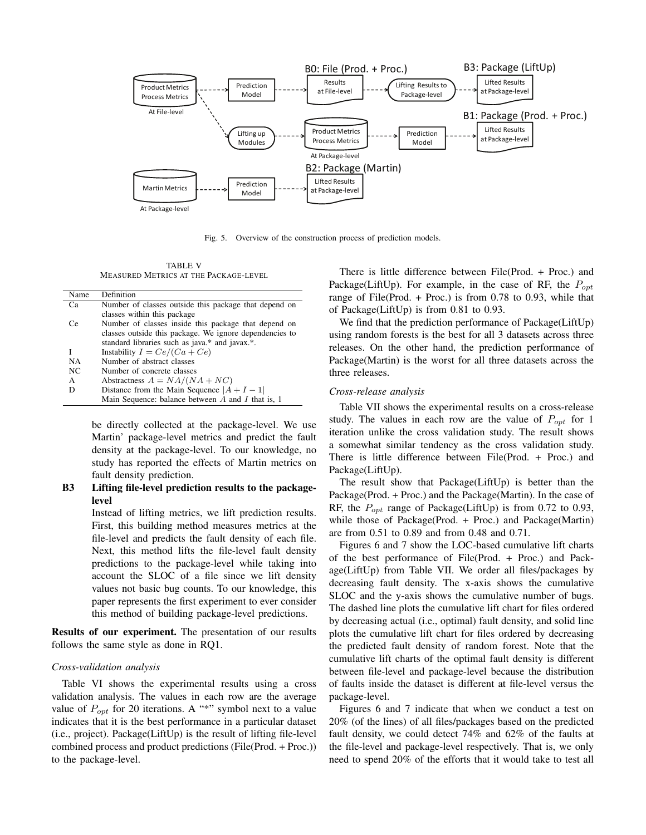

Fig. 5. Overview of the construction process of prediction models.

TABLE V MEASURED METRICS AT THE PACKAGE-LEVEL

| Name | Definition                                              |
|------|---------------------------------------------------------|
| Ca   | Number of classes outside this package that depend on   |
|      | classes within this package                             |
| Cе   | Number of classes inside this package that depend on    |
|      | classes outside this package. We ignore dependencies to |
|      | standard libraries such as java.* and javax.*.          |
| I    | Instability $I = Ce/(Ca + Ce)$                          |
| NA   | Number of abstract classes                              |
| NC   | Number of concrete classes                              |
| A    | Abstractness $A = NA/(NA + NC)$                         |
|      | Distance from the Main Sequence $ A + I - 1 $           |
|      | Main Sequence: balance between $A$ and $I$ that is, 1   |

be directly collected at the package-level. We use Martin' package-level metrics and predict the fault density at the package-level. To our knowledge, no study has reported the effects of Martin metrics on fault density prediction.

# **B3 Lifting file-level prediction results to the packagelevel**

Instead of lifting metrics, we lift prediction results. First, this building method measures metrics at the file-level and predicts the fault density of each file. Next, this method lifts the file-level fault density predictions to the package-level while taking into account the SLOC of a file since we lift density values not basic bug counts. To our knowledge, this paper represents the first experiment to ever consider this method of building package-level predictions.

**Results of our experiment.** The presentation of our results follows the same style as done in RQ1.

## *Cross-validation analysis*

Table VI shows the experimental results using a cross validation analysis. The values in each row are the average value of  $P_{opt}$  for 20 iterations. A "\*" symbol next to a value indicates that it is the best performance in a particular dataset (i.e., project). Package(LiftUp) is the result of lifting file-level combined process and product predictions (File(Prod. + Proc.)) to the package-level.

There is little difference between File(Prod. + Proc.) and Package(LiftUp). For example, in the case of RF, the  $P_{\text{opt}}$ range of File(Prod.  $+$  Proc.) is from 0.78 to 0.93, while that of Package(LiftUp) is from 0.81 to 0.93.

We find that the prediction performance of Package(LiftUp) using random forests is the best for all 3 datasets across three releases. On the other hand, the prediction performance of Package(Martin) is the worst for all three datasets across the three releases.

## *Cross-release analysis*

Table VII shows the experimental results on a cross-release study. The values in each row are the value of  $P_{opt}$  for 1 iteration unlike the cross validation study. The result shows a somewhat similar tendency as the cross validation study. There is little difference between File(Prod. + Proc.) and Package(LiftUp).

The result show that Package(LiftUp) is better than the Package(Prod. + Proc.) and the Package(Martin). In the case of RF, the  $P_{opt}$  range of Package(LiftUp) is from 0.72 to 0.93, while those of Package(Prod. + Proc.) and Package(Martin) are from 0.51 to 0.89 and from 0.48 and 0.71.

Figures 6 and 7 show the LOC-based cumulative lift charts of the best performance of File(Prod. + Proc.) and Package(LiftUp) from Table VII. We order all files/packages by decreasing fault density. The x-axis shows the cumulative SLOC and the y-axis shows the cumulative number of bugs. The dashed line plots the cumulative lift chart for files ordered by decreasing actual (i.e., optimal) fault density, and solid line plots the cumulative lift chart for files ordered by decreasing the predicted fault density of random forest. Note that the cumulative lift charts of the optimal fault density is different between file-level and package-level because the distribution of faults inside the dataset is different at file-level versus the package-level.

Figures 6 and 7 indicate that when we conduct a test on 20% (of the lines) of all files/packages based on the predicted fault density, we could detect 74% and 62% of the faults at the file-level and package-level respectively. That is, we only need to spend 20% of the efforts that it would take to test all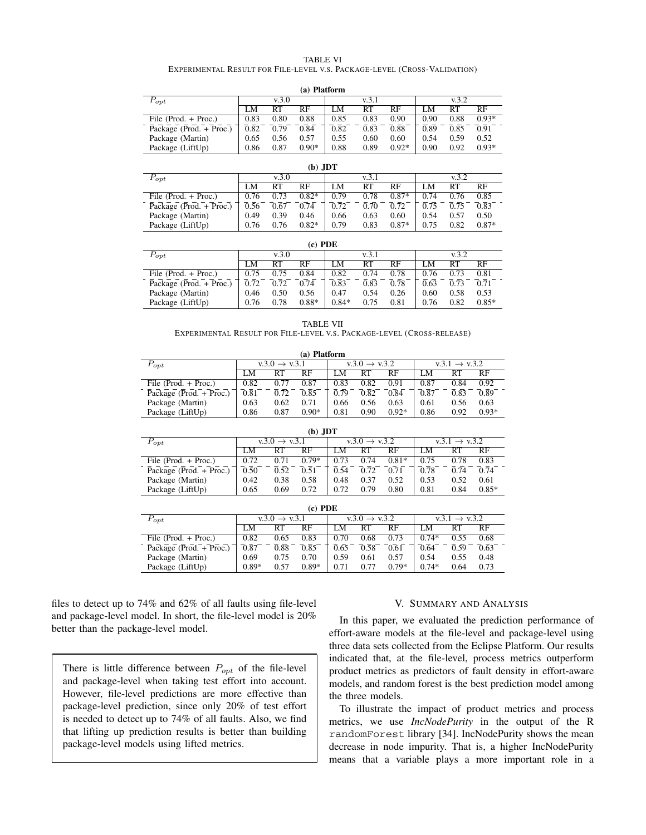#### TABLE VI

# EXPERIMENTAL RESULT FOR FILE-LEVEL V.S. PACKAGE-LEVEL (CROSS-VALIDATION)  $(4)$  **Platform**

|                         |       |      | (а) гіаногіп |      |       |         |       |      |         |
|-------------------------|-------|------|--------------|------|-------|---------|-------|------|---------|
| $r_{opt}$               | v.3.0 |      |              |      | v.3.1 |         | v.3.2 |      |         |
|                         | LM    | RT   | RF           | LM   | RT    | RF      | M     | RТ   | RF      |
| File (Prod. $+$ Proc.)  | 0.83  | 0.80 | 0.88         | 0.85 | 0.83  | 0.90    | 0.90  | 0.88 | $0.93*$ |
| Package (Prod. + Proc.) | 0.82  | 0.79 | 0.84         | 0.82 | 0.83  | 0.88    | 0.89  | 0.85 | 0.91    |
| Package (Martin)        | 0.65  | 0.56 | 0.57         | 0.55 | 0.60  | 0.60    | 0.54  | 0.59 | 0.52    |
| Package (LiftUp)        | 0.86  | 0.87 | $0.90*$      | 0.88 | 0.89  | $0.92*$ | 0.90  | 0.92 | $0.93*$ |

|                         | (b) JDT |       |         |      |       |         |       |      |         |  |  |  |
|-------------------------|---------|-------|---------|------|-------|---------|-------|------|---------|--|--|--|
| $P_{opt}$               |         | v.3.0 |         |      | v 3.1 |         | v.3.2 |      |         |  |  |  |
|                         | LM      | RT    | RF      | LΜ   | RT    | RF      | LM.   | RT   | RF      |  |  |  |
| File (Prod. $+$ Proc.)  | 0.76    | 0.73  | $0.82*$ | 0.79 | 0.78  | $0.87*$ | 0.74  | 0.76 | 0.85    |  |  |  |
| Package (Prod. + Proc.) | 0.56    | 0.67  | 0.74    | 0.72 | 0.70  | 0.72    | 0.75  | 0.75 | 0.83    |  |  |  |
| Package (Martin)        | 0.49    | 0.39  | 0.46    | 0.66 | 0.63  | 0.60    | 0.54  | 0.57 | 0.50    |  |  |  |
| Package (LiftUp)        | 0.76    | 0.76  | $0.82*$ | 0.79 | 0.83  | $0.87*$ | 0.75  | 0.82 | $0.87*$ |  |  |  |

| (c) PDE                 |       |      |         |         |      |      |       |      |           |
|-------------------------|-------|------|---------|---------|------|------|-------|------|-----------|
| $P_{opt}$               | v.3.0 |      |         | v.3.1   |      |      | v.3.2 |      |           |
|                         | LM.   | RT   | RF      | LM.     | RT   | RF   | LМ    | RT   | <b>RF</b> |
| File (Prod. $+$ Proc.)  | 0.75  | 0.75 | 0.84    | 0.82    | 0.74 | 0.78 | 0.76  | 0.73 | 0.81      |
| Package (Prod. + Proc.) | 0.72  | 0.72 | 0.74    | 0.83    | 0.83 | 0.78 | 0.63  | 0.73 | 0.71      |
| Package (Martin)        | 0.46  | 0.50 | 0.56    | 0.47    | 0.54 | 0.26 | 0.60  | 0.58 | 0.53      |
| Package (LiftUp)        | 0.76  | 0.78 | $0.88*$ | $0.84*$ | 0.75 | 0.81 | 0.76  | 0.82 | $0.85*$   |

TABLE VII

EXPERIMENTAL RESULT FOR FILE-LEVEL V.S. PACKAGE-LEVEL (CROSS-RELEASE)

| (a) Platform            |                           |      |         |                           |      |         |                           |      |         |  |
|-------------------------|---------------------------|------|---------|---------------------------|------|---------|---------------------------|------|---------|--|
| $P_{opt}$               | $v.3.0 \rightarrow v.3.1$ |      |         | $v.3.0 \rightarrow v.3.2$ |      |         | $v.3.1 \rightarrow v.3.2$ |      |         |  |
|                         | LM                        | RT   | RF      | LM                        | RT   | RF      | LM.                       | RT   | RF      |  |
| File (Prod. $+$ Proc.)  | 0.82                      | 0.77 | 0.87    | 0.83                      | 0.82 | 0.91    | 0.87                      | 0.84 | 0.92    |  |
| Package (Prod. + Proc.) | 0.81                      | 0.72 | 0.85    | 0.79                      | 0.82 | 0.84    | 0.87                      | 0.83 | 0.89    |  |
| Package (Martin)        | 0.63                      | 0.62 | 0.71    | 0.66                      | 0.56 | 0.63    | 0.61                      | 0.56 | 0.63    |  |
| Package (LiftUp)        | 0.86                      | 0.87 | $0.90*$ | 0.81                      | 0.90 | $0.92*$ | 0.86                      | 0.92 | $0.93*$ |  |

| (b) JDT                 |                           |      |         |                           |      |         |                           |      |         |  |
|-------------------------|---------------------------|------|---------|---------------------------|------|---------|---------------------------|------|---------|--|
| $P_{opt}$               | $v.3.0 \rightarrow v.3.1$ |      |         | $v.3.0 \rightarrow v.3.2$ |      |         | $v.3.1 \rightarrow v.3.2$ |      |         |  |
|                         | LM                        | RT   | RF      | LM                        | RT   | RF      | LМ                        | RT   | RF      |  |
| File (Prod. + Proc.)    | 0.72                      | 0.71 | $0.79*$ | 0.73                      | 0.74 | $0.81*$ | 0.75                      | 0.78 | 0.83    |  |
| Package (Prod. + Proc.) | 0.50                      | 0.52 | 0.51    | 0.54                      | 0.72 | 0.71    | 0.78                      | 0.74 | 0.74    |  |
| Package (Martin)        | 0.42                      | 0.38 | 0.58    | 0.48                      | 0.37 | 0.52    | 0.53                      | 0.52 | 0.61    |  |
| Package (LiftUp)        | 0.65                      | 0.69 | 0.72    | 0.72                      | 0.79 | 0.80    | 0.81                      | 0.84 | $0.85*$ |  |

| (c) PDE                 |                           |      |         |      |                           |         |                           |      |      |  |
|-------------------------|---------------------------|------|---------|------|---------------------------|---------|---------------------------|------|------|--|
| $P_{opt}$               | $v.3.0 \rightarrow v.3.1$ |      |         |      | $v.3.0 \rightarrow v.3.2$ |         | $v.3.1 \rightarrow v.3.2$ |      |      |  |
|                         | LM                        | RT   | RF      | M    | RT                        | RF      | LМ                        | RT   | RF   |  |
| File (Prod. $+$ Proc.)  | 0.82                      | 0.65 | 0.83    | 0.70 | 0.68                      | 0.73    | $0.74*$                   | 0.55 | 0.68 |  |
| Package (Prod. + Proc.) | 0.87                      | 0.88 | 0.85    | 0.65 | 0.58                      | 0.61    | 0.64                      | 0.59 | 0.63 |  |
| Package (Martin)        | 0.69                      | 0.75 | 0.70    | 0.59 | 0.61                      | 0.57    | 0.54                      | 0.55 | 0.48 |  |
| Package (LiftUp)        | $0.89*$                   | 0.57 | $0.89*$ | 0.71 | 0.77                      | $0.79*$ | $0.74*$                   | 0.64 | 0.73 |  |

files to detect up to 74% and 62% of all faults using file-level and package-level model. In short, the file-level model is 20% better than the package-level model.

There is little difference between  $P_{opt}$  of the file-level and package-level when taking test effort into account. However, file-level predictions are more effective than package-level prediction, since only 20% of test effort is needed to detect up to 74% of all faults. Also, we find that lifting up prediction results is better than building package-level models using lifted metrics.

## V. SUMMARY AND ANALYSIS

In this paper, we evaluated the prediction performance of effort-aware models at the file-level and package-level using three data sets collected from the Eclipse Platform. Our results indicated that, at the file-level, process metrics outperform product metrics as predictors of fault density in effort-aware models, and random forest is the best prediction model among the three models.

To illustrate the impact of product metrics and process metrics, we use *IncNodePurity* in the output of the R randomForest library [34]. IncNodePurity shows the mean decrease in node impurity. That is, a higher IncNodePurity means that a variable plays a more important role in a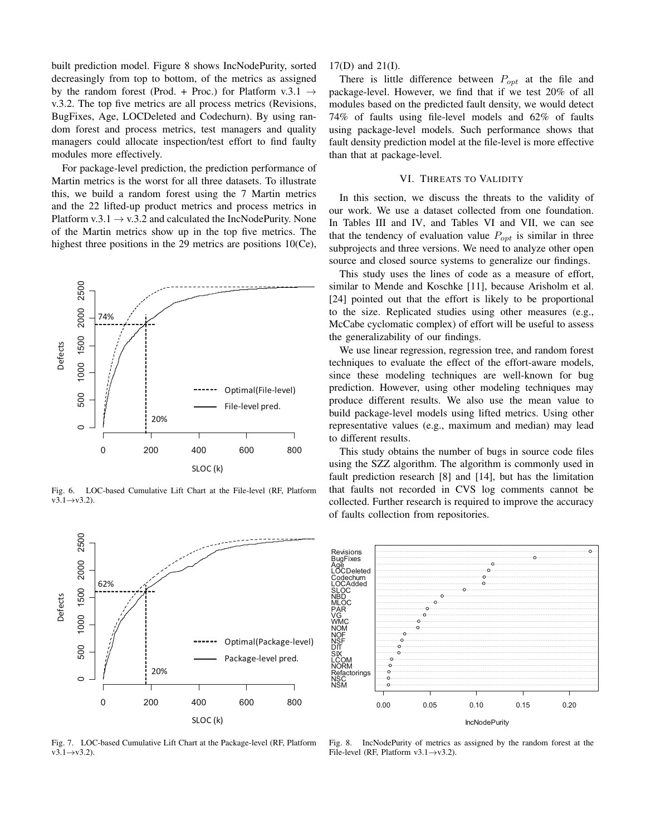built prediction model. Figure 8 shows IncNodePurity, sorted decreasingly from top to bottom, of the metrics as assigned by the random forest (Prod. + Proc.) for Platform v.3.1  $\rightarrow$ v.3.2. The top five metrics are all process metrics (Revisions, BugFixes, Age, LOCDeleted and Codechurn). By using random forest and process metrics, test managers and quality managers could allocate inspection/test effort to find faulty modules more effectively.

For package-level prediction, the prediction performance of Martin metrics is the worst for all three datasets. To illustrate this, we build a random forest using the 7 Martin metrics and the 22 lifted-up product metrics and process metrics in Platform v.3.1  $\rightarrow$  v.3.2 and calculated the IncNodePurity. None of the Martin metrics show up in the top five metrics. The highest three positions in the 29 metrics are positions 10(Ce),



Fig. 6. LOC-based Cumulative Lift Chart at the File-level (RF, Platform  $v3.1 \rightarrow v3.2$ ).

17(D) and 21(I).

There is little difference between  $P_{opt}$  at the file and package-level. However, we find that if we test 20% of all modules based on the predicted fault density, we would detect 74% of faults using file-level models and 62% of faults using package-level models. Such performance shows that fault density prediction model at the file-level is more effective than that at package-level.

## VI. THREATS TO VALIDITY

In this section, we discuss the threats to the validity of our work. We use a dataset collected from one foundation. In Tables III and IV, and Tables VI and VII, we can see that the tendency of evaluation value  $P_{\text{out}}$  is similar in three subprojects and three versions. We need to analyze other open source and closed source systems to generalize our findings.

This study uses the lines of code as a measure of effort, similar to Mende and Koschke [11], because Arisholm et al. [24] pointed out that the effort is likely to be proportional to the size. Replicated studies using other measures (e.g., McCabe cyclomatic complex) of effort will be useful to assess the generalizability of our findings.

We use linear regression, regression tree, and random forest techniques to evaluate the effect of the effort-aware models, since these modeling techniques are well-known for bug prediction. However, using other modeling techniques may produce different results. We also use the mean value to build package-level models using lifted metrics. Using other representative values (e.g., maximum and median) may lead to different results.

This study obtains the number of bugs in source code files using the SZZ algorithm. The algorithm is commonly used in fault prediction research [8] and [14], but has the limitation that faults not recorded in CVS log comments cannot be collected. Further research is required to improve the accuracy of faults collection from repositories.





62%

2500

2000

Fig. 7. LOC-based Cumulative Lift Chart at the Package-level (RF, Platform  $v3.1 \rightarrow v3.2$ ).

Fig. 8. IncNodePurity of metrics as assigned by the random forest at the File-level (RF, Platform  $v3.1 \rightarrow v3.2$ ).